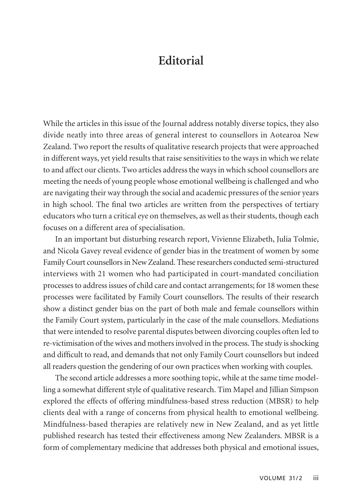## **Editorial**

While the articles in this issue of the Journal address notably diverse topics, they also divide neatly into three areas of general interest to counsellors in Aotearoa New Zealand. Two report the results of qualitative research projects that were approached in different ways, yet yield results that raise sensitivities to the ways in which we relate to and affect our clients. Two articles address the ways in which school counsellors are meeting the needs of young people whose emotional wellbeing is challenged and who are navigating their way through the social and academic pressures of the senior years in high school. The final two articles are written from the perspectives of tertiary educators who turn a critical eye on themselves, as well as their students, though each focuses on a different area of specialisation.

In an important but disturbing research report, Vivienne Elizabeth, Julia Tolmie, and Nicola Gavey reveal evidence of gender bias in the treatment of women by some Family Court counsellors in New Zealand. These researchers conducted semi-structured interviews with 21 women who had participated in court-mandated conciliation processes to address issues of child care and contact arrangements; for 18 women these processes were facilitated by Family Court counsellors. The results of their research show a distinct gender bias on the part of both male and female counsellors within the Family Court system, particularly in the case of the male counsellors. Mediations that were intended to resolve parental disputes between divorcing couples often led to re-victimisation of the wives and mothers involved in the process. The study is shocking and difficult to read, and demands that not only Family Court counsellors but indeed all readers question the gendering of our own practices when working with couples.

The second article addresses a more soothing topic, while at the same time modelling a somewhat different style of qualitative research. Tim Mapel and Jillian Simpson explored the effects of offering mindfulness-based stress reduction (MBSR) to help clients deal with a range of concerns from physical health to emotional wellbeing. Mindfulness-based therapies are relatively new in New Zealand, and as yet little published research has tested their effectiveness among New Zealanders. MBSR is a form of complementary medicine that addresses both physical and emotional issues,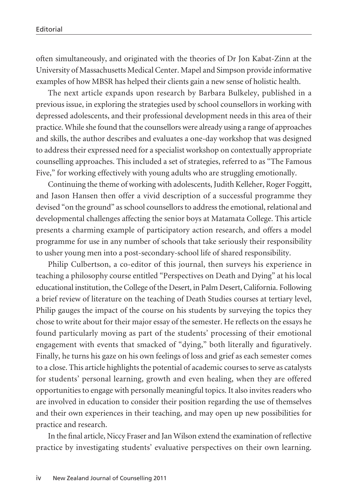often simultaneously, and originated with the theories of Dr Jon Kabat-Zinn at the University of Massachusetts Medical Center. Mapel and Simpson provide informative examples of how MBSR has helped their clients gain a new sense of holistic health.

The next article expands upon research by Barbara Bulkeley, published in a previous issue, in exploring the strategies used by school counsellors in working with depressed adolescents, and their professional development needs in this area of their practice. While she found that the counsellors were already using a range of approaches and skills, the author describes and evaluates a one-day workshop that was designed to address their expressed need for a specialist workshop on contextually appropriate counselling approaches. This included a set of strategies, referred to as "The Famous Five," for working effectively with young adults who are struggling emotionally.

Continuing the theme of working with adolescents, Judith Kelleher, Roger Foggitt, and Jason Hansen then offer a vivid description of a successful programme they devised "on the ground" as school counsellors to address the emotional, relational and developmental challenges affecting the senior boys at Matamata College. This article presents a charming example of participatory action research, and offers a model programme for use in any number of schools that take seriously their responsibility to usher young men into a post-secondary-school life of shared responsibility.

Philip Culbertson, a co-editor of this journal, then surveys his experience in teaching a philosophy course entitled "Perspectives on Death and Dying" at his local educational institution, the College of the Desert, in Palm Desert, California. Following a brief review of literature on the teaching of Death Studies courses at tertiary level, Philip gauges the impact of the course on his students by surveying the topics they chose to write about for their major essay of the semester. He reflects on the essays he found particularly moving as part of the students' processing of their emotional engagement with events that smacked of "dying," both literally and figuratively. Finally, he turns his gaze on his own feelings of loss and grief as each semester comes to a close. This article highlights the potential of academic courses to serve as catalysts for students' personal learning, growth and even healing, when they are offered opportunities to engage with personally meaningful topics. It also invites readers who are involved in education to consider their position regarding the use of themselves and their own experiences in their teaching, and may open up new possibilities for practice and research.

In the final article, Niccy Fraser and Jan Wilson extend the examination of reflective practice by investigating students' evaluative perspectives on their own learning.